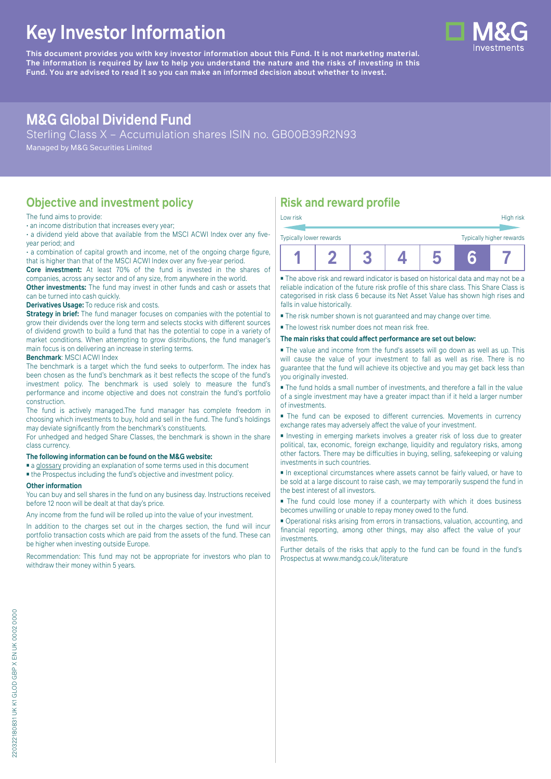# **Key Investor Information**

**This document provides you with key investor information about this Fund. It is not marketing material.** The information is required by law to help you understand the nature and the risks of investing in this **Fund. You are advised to read it so you can make an informed decision about whether to invest.**

## **M&G Global Dividend Fund**

Sterling Class X – Accumulation shares ISIN no. GB00B39R2N93

Managed by M&G Securities Limited

### **Objective and investment policy**

#### The fund aims to provide:

• an income distribution that increases every year;

• a dividend yield above that available from the MSCI ACWI Index over any fiveyear period; and

• a combination of capital growth and income, net of the ongoing charge figure, that is higher than that of the MSCI ACWI Index over any five-year period.

**Core investment:** At least 70% of the fund is invested in the shares of companies, across any sector and of any size, from anywhere in the world.

**Other investments:** The fund may invest in other funds and cash or assets that can be turned into cash quickly.

#### **Derivatives Usage:** To reduce risk and costs.

**Strategy in brief:** The fund manager focuses on companies with the potential to grow their dividends over the long term and selects stocks with different sources of dividend growth to build a fund that has the potential to cope in a variety of market conditions. When attempting to grow distributions, the fund manager's main focus is on delivering an increase in sterling terms.

#### **Benchmark**: MSCI ACWI Index

The benchmark is a target which the fund seeks to outperform. The index has been chosen as the fund's benchmark as it best reflects the scope of the fund's investment policy. The benchmark is used solely to measure the fund's performance and income objective and does not constrain the fund's portfolio construction.

The fund is actively managed.The fund manager has complete freedom in choosing which investments to buy, hold and sell in the fund. The fund's holdings may deviate significantly from the benchmark's constituents.

For unhedged and hedged Share Classes, the benchmark is shown in the share class currency.

#### **The following information can be found on the M&G website:**

■ [a glossary](https://docs.mandg.com/docs/glossary-master-en.pdf) providing an explanation of some terms used in this document

■ the Prospectus including the fund's objective and investment policy.

#### **Other information**

You can buy and sell shares in the fund on any business day. Instructions received before 12 noon will be dealt at that day's price.

Any income from the fund will be rolled up into the value of your investment.

In addition to the charges set out in the charges section, the fund will incur portfolio transaction costs which are paid from the assets of the fund. These can be higher when investing outside Europe.

Recommendation: This fund may not be appropriate for investors who plan to withdraw their money within 5 years.

### **Risk and reward profile**

| Low risk                |  |  |    | High risk                |
|-------------------------|--|--|----|--------------------------|
| Typically lower rewards |  |  |    | Typically higher rewards |
|                         |  |  | 'N |                          |

■ The above risk and reward indicator is based on historical data and may not be a reliable indication of the future risk profile of this share class. This Share Class is categorised in risk class 6 because its Net Asset Value has shown high rises and falls in value historically.

- The risk number shown is not guaranteed and may change over time.
- The lowest risk number does not mean risk free.

#### **The main risks that could affect performance are set out below:**

■ The value and income from the fund's assets will go down as well as up. This will cause the value of your investment to fall as well as rise. There is no guarantee that the fund will achieve its objective and you may get back less than you originally invested.

■ The fund holds a small number of investments, and therefore a fall in the value of a single investment may have a greater impact than if it held a larger number of investments.

■ The fund can be exposed to different currencies. Movements in currency exchange rates may adversely affect the value of your investment.

■ Investing in emerging markets involves a greater risk of loss due to greater political, tax, economic, foreign exchange, liquidity and regulatory risks, among other factors. There may be difficulties in buying, selling, safekeeping or valuing investments in such countries.

■ In exceptional circumstances where assets cannot be fairly valued, or have to be sold at a large discount to raise cash, we may temporarily suspend the fund in the best interest of all investors.

■ The fund could lose money if a counterparty with which it does business becomes unwilling or unable to repay money owed to the fund.

■ Operational risks arising from errors in transactions, valuation, accounting, and financial reporting, among other things, may also affect the value of your investments.

Further details of the risks that apply to the fund can be found in the fund's Prospectus at [www.mandg.co.uk/literature](http://www.mandg.co.uk/literature)